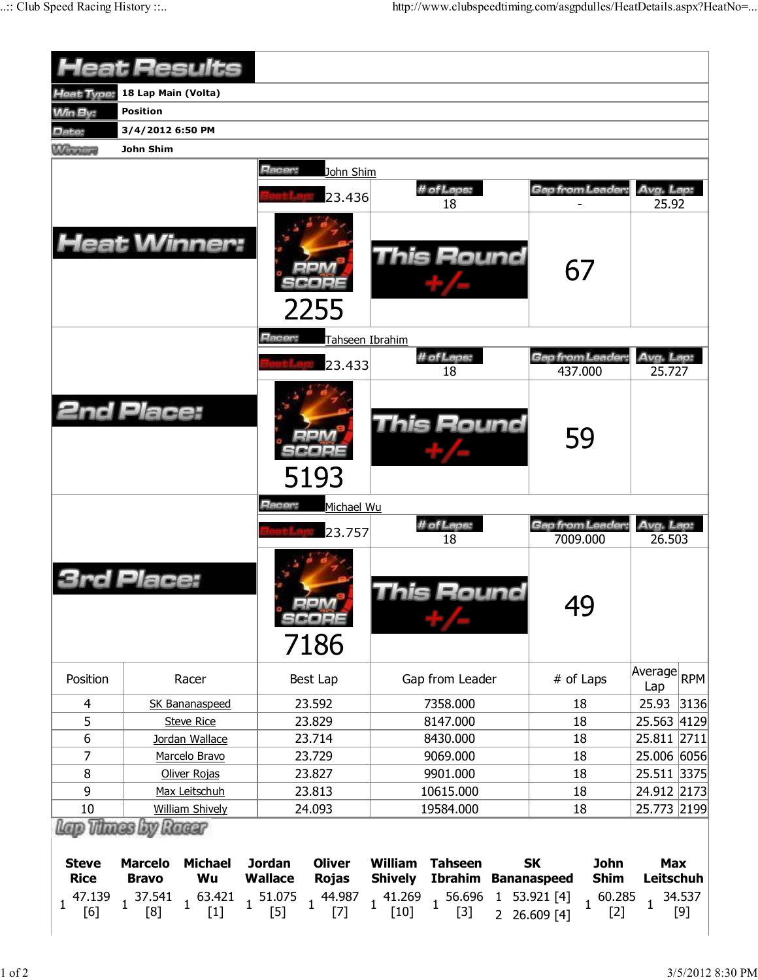|                             | <b>Heat Results</b>                                    |                                                                  |                                                                                                                                                                                                                                             |                                         |                                 |  |  |
|-----------------------------|--------------------------------------------------------|------------------------------------------------------------------|---------------------------------------------------------------------------------------------------------------------------------------------------------------------------------------------------------------------------------------------|-----------------------------------------|---------------------------------|--|--|
| Heat Type:                  | 18 Lap Main (Volta)                                    |                                                                  |                                                                                                                                                                                                                                             |                                         |                                 |  |  |
| <b>Min By:</b>              | Position                                               |                                                                  |                                                                                                                                                                                                                                             |                                         |                                 |  |  |
| Date:                       | 3/4/2012 6:50 PM                                       |                                                                  |                                                                                                                                                                                                                                             |                                         |                                 |  |  |
| <b>William Live</b>         | John Shim                                              |                                                                  |                                                                                                                                                                                                                                             |                                         |                                 |  |  |
|                             |                                                        | Racer:<br>John Shim                                              | # of Laps:                                                                                                                                                                                                                                  | Gap from Leader:                        | Avg. Lap:                       |  |  |
|                             | <b>Heat Winner:</b>                                    | 23.436<br>2255                                                   | 18<br><b>This Round</b>                                                                                                                                                                                                                     | 67                                      | 25.92                           |  |  |
|                             |                                                        | Racer:<br>Tahseen Ibrahim<br>23.433                              | # of Laps:<br>18                                                                                                                                                                                                                            | Gap from Leader:<br>437.000             | Avg. Lap:<br>25.727             |  |  |
|                             | <b>2nd Place:</b>                                      | 5193                                                             | This Round                                                                                                                                                                                                                                  | 59                                      |                                 |  |  |
|                             |                                                        | Racer:<br>Michael Wu                                             |                                                                                                                                                                                                                                             |                                         |                                 |  |  |
|                             |                                                        | 23.757                                                           | # of Laps:                                                                                                                                                                                                                                  | <b>Gap from Leader:</b>                 | Avg. Lap:                       |  |  |
|                             | Place:                                                 | SCOPE<br>7186                                                    | 18<br>his Round                                                                                                                                                                                                                             | 7009.000<br>49                          | 26.503                          |  |  |
| Position                    | Racer                                                  | Best Lap                                                         | Gap from Leader                                                                                                                                                                                                                             | # of Laps                               | Average RPM<br>Lap              |  |  |
| 4                           | <b>SK Bananaspeed</b>                                  | 23.592                                                           | 7358.000                                                                                                                                                                                                                                    | 18                                      | 25.93 3136                      |  |  |
| 5                           | <b>Steve Rice</b>                                      | 23.829                                                           | 8147.000                                                                                                                                                                                                                                    | 18                                      | 25.563 4129                     |  |  |
| 6                           | Jordan Wallace                                         | 23.714                                                           | 8430.000                                                                                                                                                                                                                                    | 18                                      | 25.811 2711                     |  |  |
| 7                           | Marcelo Bravo                                          | 23.729                                                           | 9069.000                                                                                                                                                                                                                                    | 18                                      | 25.006 6056                     |  |  |
| 8                           | Oliver Rojas                                           | 23.827                                                           | 9901.000                                                                                                                                                                                                                                    | 18                                      | 25.511 3375                     |  |  |
| 9                           | Max Leitschuh                                          | 23.813                                                           | 10615.000                                                                                                                                                                                                                                   | 18                                      | 24.912 2173                     |  |  |
| 10                          | <b>William Shively</b>                                 | 24.093                                                           | 19584.000                                                                                                                                                                                                                                   | 18                                      | 25.773 2199                     |  |  |
|                             | Lap Thues by Rueur                                     |                                                                  |                                                                                                                                                                                                                                             |                                         |                                 |  |  |
| <b>Steve</b><br><b>Rice</b> | <b>Marcelo</b><br><b>Michael</b><br>Wu<br><b>Bravo</b> | <b>Oliver</b><br><b>Jordan</b><br><b>Rojas</b><br><b>Wallace</b> | William<br><b>Tahseen</b><br><b>Ibrahim Bananaspeed</b><br><b>Shively</b>                                                                                                                                                                   | <b>SK</b><br><b>John</b><br><b>Shim</b> | <b>Max</b><br>Leitschuh         |  |  |
|                             |                                                        |                                                                  | $\begin{array}{cccccccc} 47.139 & 1 & 37.541 & 1 & 63.421 & 1 & 51.075 & 1 & 44.987 & 1 & 41.269 & 1 & 56.696 & 1 & 53.921 & [4] \\ \hline [6] & 1 & [8] & 1 & [1] & 1 & [5] & 1 & [7] & 1 & [10] & 1 & [3] & 2 & 26.609 & [4] \end{array}$ | $1\frac{60.285}{1}$<br>$[2]$            | 34.537<br>$\mathbf{1}$<br>$[9]$ |  |  |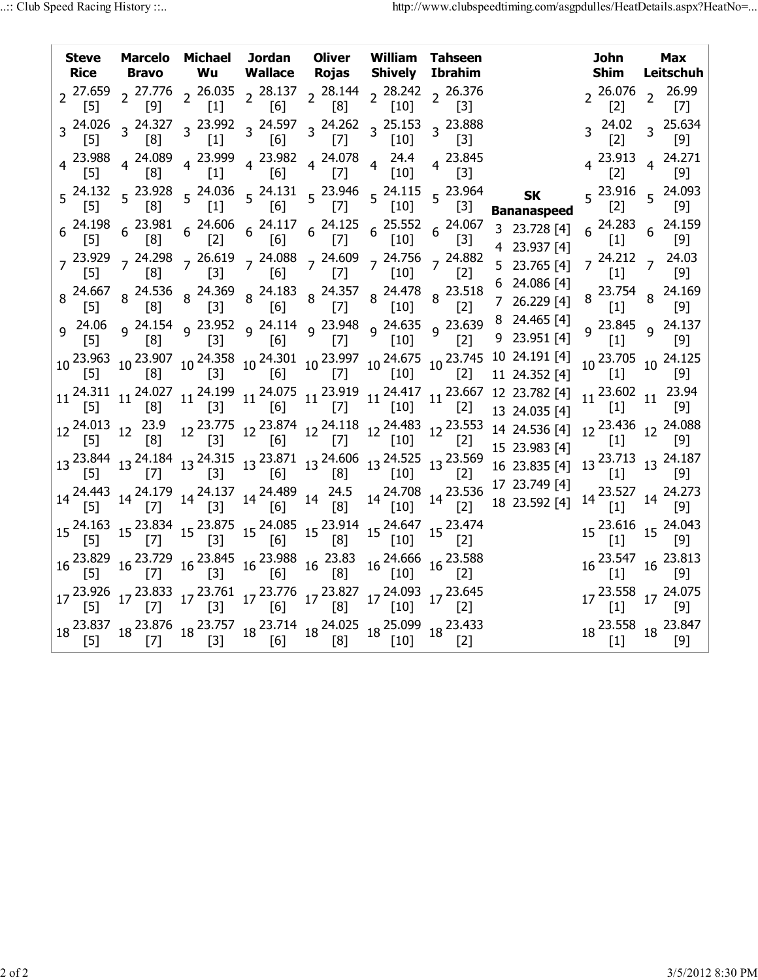| <b>Steve</b> |                                         | Marcelo Michael Jordan Oliver William Tahseen<br>Rice Bravo Wu Wallace Rojas Shively Ibrahim                                                                                                                                                                                                                                                                                                     |  |                                                                                                                                                                                                                                                                                                        |                                                                                                                                                                                                                                                                                                                                                    | John<br>Shim      | <b>Max</b><br>Leitschuh                                                                                              |
|--------------|-----------------------------------------|--------------------------------------------------------------------------------------------------------------------------------------------------------------------------------------------------------------------------------------------------------------------------------------------------------------------------------------------------------------------------------------------------|--|--------------------------------------------------------------------------------------------------------------------------------------------------------------------------------------------------------------------------------------------------------------------------------------------------------|----------------------------------------------------------------------------------------------------------------------------------------------------------------------------------------------------------------------------------------------------------------------------------------------------------------------------------------------------|-------------------|----------------------------------------------------------------------------------------------------------------------|
|              |                                         | 2  27.659  2  27.776  2  26.035  2  28.137  2  28.144  2  28.242  2  26.376<br>[5]  2  [9]  2  [1]  2  [6]  2  [8]  2  [10]  2  [3]                                                                                                                                                                                                                                                              |  |                                                                                                                                                                                                                                                                                                        |                                                                                                                                                                                                                                                                                                                                                    | [2]               | $2^{26.076}$ $2^{26.99}$<br>$\left[7\right]$                                                                         |
|              | $\begin{bmatrix} 8 \end{bmatrix}$       |                                                                                                                                                                                                                                                                                                                                                                                                  |  |                                                                                                                                                                                                                                                                                                        |                                                                                                                                                                                                                                                                                                                                                    | [2]               | $3^{24.02}$ $3^{25.634}$<br>ັ [9]                                                                                    |
|              |                                         | 4  23.988  4  24.089  4  23.999  4  23.982  4  24.078  4  24.4<br>[5]  4  [8]  1]  4  [6]  4  [7]  4  [10]                                                                                                                                                                                                                                                                                       |  | 4 23.845<br>$[3]$                                                                                                                                                                                                                                                                                      |                                                                                                                                                                                                                                                                                                                                                    |                   | 4 23.913 4 24.271<br>[2] 4 [9]                                                                                       |
|              |                                         | $5\quad \  \begin{array}{cccccccc} 24.132 & 5 & 23.928 & 5 & 24.036 & 5 & 24.131 & 5 & 23.946 & 5 & 24.115 & 5 & 23.964 \\ \hline [5] & 5 & [8] & 5 & [1] & 5 & [6] & 5 & [7] & 5 & [10] & 5 & [3] \end{array}$                                                                                                                                                                                  |  |                                                                                                                                                                                                                                                                                                        | <b>SK</b><br><b>Bananaspeed</b>                                                                                                                                                                                                                                                                                                                    | [2]               | $5\begin{array}{l} 23.916 \\ 5 \end{array}$ 5 24.093<br>$[9]$                                                        |
|              |                                         | $6\begin{array}{l} 24.198 \ 6 \end{array}$ $6\begin{array}{l} 23.981 \ 6 \end{array}$ $6\begin{array}{l} 24.606 \ 6 \end{array}$ $6\begin{array}{l} 24.117 \ 6 \end{array}$ $6\begin{array}{l} 24.125 \ 6 \end{array}$ $6\begin{array}{l} 25.552 \ 10 \end{array}$ $6\begin{array}{l} 24.067 \ 6 \end{array}$                                                                                    |  |                                                                                                                                                                                                                                                                                                        | 3 23.728 [4]<br>4 23.937 [4]                                                                                                                                                                                                                                                                                                                       | $\left[1\right]$  | $6\begin{array}{l} 24.283 \\ 51.1 \end{array}$ 6 24.159<br>$[9]$                                                     |
|              |                                         | 7 <sup>23.929</sup> 7 <sup>24.298</sup> 7 <sup>26.619</sup> 7 <sup>24.088</sup> 7 <sup>24.609</sup> 7 <sup>24.756</sup> 7 <sup>24.882</sup><br>[5] 7 [8] 7 [3] 7 [6] 7 [7] 7 [10] 7 [2]                                                                                                                                                                                                          |  |                                                                                                                                                                                                                                                                                                        | 5 23.765 [4]<br>6 24.086 [4]                                                                                                                                                                                                                                                                                                                       |                   | 7 <sup>24.212</sup> 7 <sup>24.03</sup><br>[1] 7 [9]                                                                  |
|              |                                         | 8  24.667  8  24.536  8  24.369  8  24.183  8  24.357  8  24.478  8  23.518<br>[5]  8  [8]  8  [6]  8  [7]  8  [10]  8  [2]                                                                                                                                                                                                                                                                      |  |                                                                                                                                                                                                                                                                                                        | 7 26.229 [4]                                                                                                                                                                                                                                                                                                                                       |                   | 8 23.754 8 24.169<br>[1] 8 [9]                                                                                       |
|              |                                         | 9  24.06  9  24.154  9  23.952  9  24.114  9  23.948  9  24.635  9  23.639<br>[2]  9  [0]  [7]  [10]  9  [2]                                                                                                                                                                                                                                                                                     |  |                                                                                                                                                                                                                                                                                                        | 8 24.465 [4]<br>9 23.951 [4]                                                                                                                                                                                                                                                                                                                       |                   | 9 23.845 9 24.137<br>[1] [9]                                                                                         |
|              |                                         |                                                                                                                                                                                                                                                                                                                                                                                                  |  |                                                                                                                                                                                                                                                                                                        | $10\,\,{\overset{23.963}{\llap{[-5]}}}\,\, 10\,\, {\overset{23.907}{\llap{[-5]}}}\,\, 10\,\, {\overset{24.358}{\llap{[-5]}}}\,\, 10\,\, {\overset{24.301}{\llap{[-5]}}}\,\, 10\,\, {\overset{23.997}{\llap{[-5]}}}\,\, 10\,\, {\overset{24.675}{\llap{[-5]}}}\,\, 10\,\, {\overset{23.745}{\llap{[-5]}}}\,\, 10\,\, \overset{24.191}{\llap{[-5]}}$ | $\check{[1]}$     | 10 23.705 10 24.125<br> 9                                                                                            |
|              |                                         |                                                                                                                                                                                                                                                                                                                                                                                                  |  | $\begin{bmatrix} 2 \end{bmatrix}$                                                                                                                                                                                                                                                                      | $11 \begin{array}{c ccccc} 24.311 & 11 & 24.027 & 11 & 24.199 & 11 & 24.075 & 11 & 23.919 & 11 & 24.417 & 11 & 23.667 & 12 & 23.782 & 14 \end{array}$<br>13 24.035 [4]                                                                                                                                                                             | $\left[1\right]$  | 11 <sup>23.602</sup> 11 <sup>23.94</sup><br>[1] <sup>11</sup> [9]                                                    |
|              | 12 <sup>24.013</sup> 12 <sup>23.9</sup> |                                                                                                                                                                                                                                                                                                                                                                                                  |  | $12\,\begin{array}{l}\n 23.775 \\  12\,\begin{array}{l}\n 23.874 \\  51\n \end{array}\n \end{array}\n \begin{array}{l}\n 12\,\begin{array}{l}\n 24.118 \\  12\,\begin{array}{l}\n 24.483 \\  12\,\begin{array}{l}\n 12.3.553 \\  101\n \end{array}\n \end{array}\n \end{array}\n \end{array}$<br>$[2]$ | 14 24.536 [4]<br>15 23.983 [4]                                                                                                                                                                                                                                                                                                                     |                   | 12 <sup>23.436</sup> 12 <sup>24.088</sup><br>[1] 12 [9]                                                              |
|              |                                         | $13\, \begin{array}{l} 23.844 \end{array} \, 13\, \begin{array}{l} 24.184 \end{array} \, 13\, \begin{array}{l} 24.315 \end{array} \, 13\, \begin{array}{l} 23.871 \end{array} \, 13\, \begin{array}{l} 24.606 \end{array} \, 13\, \begin{array}{l} 24.525 \end{array} \, 13\, \begin{array}{l} 23.569 \end{array} \, \, \\ \text{[10]} \qquad \text{[2]} \qquad \text{[3]} \qquad \text{[4]} \q$ |  |                                                                                                                                                                                                                                                                                                        | 16 23.835 [4]<br>17 23.749 [4]                                                                                                                                                                                                                                                                                                                     |                   | 13 <sup>23.713</sup> 13 <sup>24.187</sup>                                                                            |
|              |                                         |                                                                                                                                                                                                                                                                                                                                                                                                  |  |                                                                                                                                                                                                                                                                                                        | $14 \begin{array}{c ccccc} 14 & 24.443 & 14 & 24.179 & 14 & 24.137 & 14 & 24.489 & 14 & 24.5 & 14 & 24.708 & 14 & 23.536 & 1 & 23.69 & 14 & 15 \end{array}$                                                                                                                                                                                        |                   | 14 <sup>23.527</sup> 14 <sup>24.273</sup>                                                                            |
|              |                                         | $15\,\frac{24.163}{[5]}\,\frac{15}{[7]}\,\frac{23.834}{[5]}\,\frac{15}{[3]}\,\frac{23.875}{15}\,\frac{15}{[6]}\,\frac{24.085}{15}\,\frac{15}{[8]}\,\frac{23.914}{15}\,\frac{15}{[10]}\,\frac{24.647}{15}\,\frac{15}{[2]}\,\frac{23.474}{[2]}\,\frac{}{}$                                                                                                                                         |  |                                                                                                                                                                                                                                                                                                        |                                                                                                                                                                                                                                                                                                                                                    |                   | 15 <sup>23.616</sup> 15 <sup>24.043</sup>                                                                            |
|              |                                         | 16 <sup>23.829</sup> 16 <sup>23.729</sup> 16 <sup>23.845</sup> 16 <sup>23.988</sup> 16 <sup>23.83</sup> [5] 16 <sup>23.83</sup>                                                                                                                                                                                                                                                                  |  | 16 <sup>24.666</sup> 16 <sup>23.588</sup>                                                                                                                                                                                                                                                              |                                                                                                                                                                                                                                                                                                                                                    |                   | $16\, \begin{array}{c} 23.547 \\ \text{[1]} \end{array} \,\, 16\, \begin{array}{c} 23.813 \\ \text{[9]} \end{array}$ |
|              |                                         | 17 <sup>23.926</sup> 17 <sup>23.833</sup> 17 <sup>23.761</sup> 17 <sup>23.776</sup> 17 <sup>23.827</sup> 17 <sup>24.093</sup> 17 <sup>23.645</sup><br>[5] [7] [7] [3] [6] [8] 17 <sup>[10]</sup> [2]                                                                                                                                                                                             |  |                                                                                                                                                                                                                                                                                                        |                                                                                                                                                                                                                                                                                                                                                    | $\lceil 1 \rceil$ | 17 <sup>23.558</sup> 17 <sup>24.075</sup><br>[9]                                                                     |
|              |                                         | $18\, \frac{23.837}{[5]}\, \frac{18}{23.876}\, \frac{23.757}{[3]}\, \frac{18}{[3]}\, \frac{23.714}{[6]}\, \frac{18}{18} \frac{24.025}{[8]}\, \frac{18}{[10]}\, \frac{25.099}{18}\, \frac{18}{[2]}\,$                                                                                                                                                                                             |  |                                                                                                                                                                                                                                                                                                        |                                                                                                                                                                                                                                                                                                                                                    |                   | $18\, \begin{array}{l} 23.558 \\ \text{[1]} \end{array} \, 18\, \begin{array}{l} 23.847 \\ \text{[9]} \end{array}$   |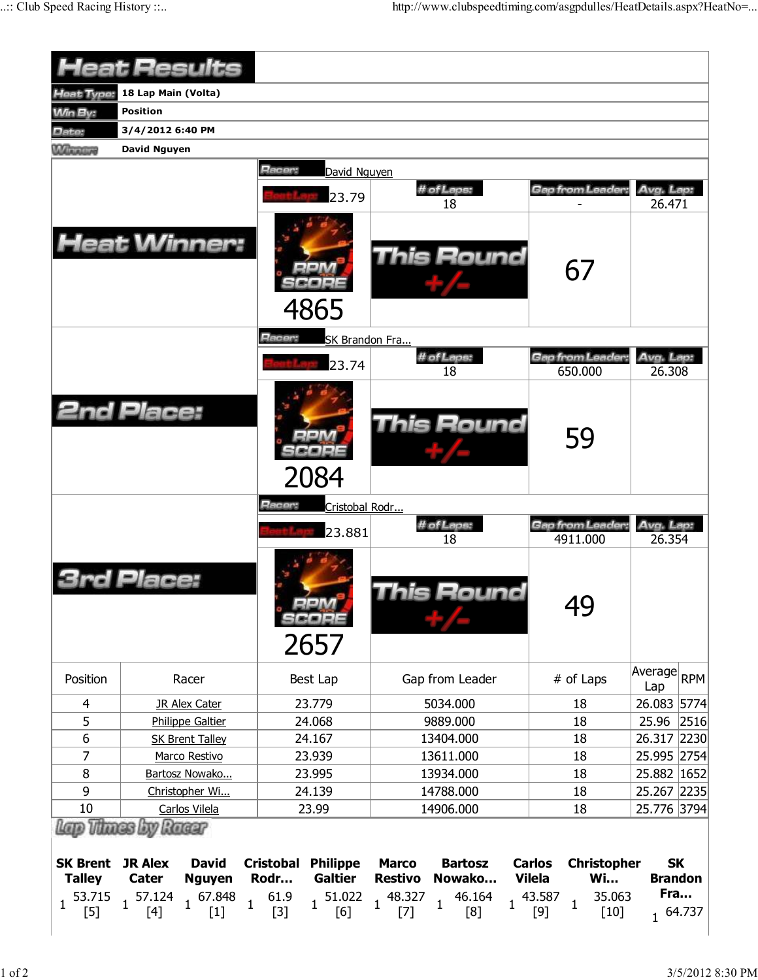|                                  |                         | <b>Heat Results</b>           |                                   |                                                 |                                 |                                |                                |                                   |                                 |                     |           |
|----------------------------------|-------------------------|-------------------------------|-----------------------------------|-------------------------------------------------|---------------------------------|--------------------------------|--------------------------------|-----------------------------------|---------------------------------|---------------------|-----------|
| Heat Type:                       | 18 Lap Main (Volta)     |                               |                                   |                                                 |                                 |                                |                                |                                   |                                 |                     |           |
| <b>Min By:</b>                   | Position                |                               |                                   |                                                 |                                 |                                |                                |                                   |                                 |                     |           |
| Date:                            | 3/4/2012 6:40 PM        |                               |                                   |                                                 |                                 |                                |                                |                                   |                                 |                     |           |
| <b>William Live</b>              | <b>David Nguyen</b>     |                               |                                   |                                                 |                                 |                                |                                |                                   |                                 |                     |           |
| <b>Heat Winner:</b>              |                         |                               | Racer:<br>Racer:                  | David Nguyen<br>23.79<br>4865<br>SK Brandon Fra | # of Laps:<br><b>This Round</b> | Gap from Leader:<br>67         | Avg. Lap:<br>26.471            |                                   |                                 |                     |           |
| <b>2nd Place:</b>                |                         |                               |                                   | 23.74<br>2084                                   |                                 | # of Laps:<br>18<br>This Round |                                | Gap from Leader:<br>650.000<br>59 |                                 | Avg. Lap:<br>26.308 |           |
|                                  |                         |                               | Racer:                            | Cristobal Rodr                                  |                                 |                                |                                |                                   |                                 |                     |           |
|                                  |                         |                               |                                   | 23.881                                          |                                 | # of Laps:                     |                                | <b>Gap from Leader:</b>           | Avg. Lap:<br>26.354             |                     |           |
|                                  | Place:                  |                               |                                   | SCOPE<br>2657                                   |                                 | 18<br>his Round                |                                | 4911.000<br>49                    |                                 |                     |           |
| Position                         |                         | Racer                         |                                   | Best Lap                                        |                                 | Gap from Leader                |                                | # of Laps                         |                                 | Average RPM<br>Lap  |           |
| 4                                |                         | <b>JR Alex Cater</b>          |                                   | 23.779                                          |                                 | 5034.000                       |                                | 18                                |                                 | 26.083 5774         |           |
| 5                                |                         | <b>Philippe Galtier</b>       |                                   | 24.068                                          |                                 | 9889.000                       |                                | 18                                |                                 | 25.96 2516          |           |
| 6                                |                         | <b>SK Brent Talley</b>        |                                   | 24.167                                          |                                 | 13404.000                      |                                | 18                                |                                 | 26.317 2230         |           |
| 7                                |                         | Marco Restivo                 |                                   | 23.939                                          |                                 | 13611.000                      |                                | 18                                |                                 | 25.995 2754         |           |
| 8                                |                         | Bartosz Nowako                |                                   | 23.995                                          |                                 | 13934.000                      |                                | 18                                |                                 | 25.882 1652         |           |
| 9                                |                         | Christopher Wi                |                                   | 24.139                                          |                                 | 14788.000                      |                                | 18                                |                                 | 25.267 2235         |           |
| 10<br>Lap Thues by Raear         |                         | Carlos Vilela                 |                                   | 23.99                                           |                                 | 14906.000                      |                                | 18                                |                                 | 25.776 3794         |           |
| <b>SK Brent</b><br><b>Talley</b> | <b>JR Alex</b><br>Cater | <b>David</b><br><b>Nguyen</b> | <b>Cristobal Philippe</b><br>Rodr | <b>Galtier</b>                                  | <b>Marco</b><br><b>Restivo</b>  | <b>Bartosz</b><br>Nowako       | <b>Carlos</b><br><b>Vilela</b> |                                   | <b>Christopher</b><br><b>Wi</b> | <b>Brandon</b>      | <b>SK</b> |
| 53.715<br>$\mathbf{1}$<br>$[5]$  | $1^{57.124}$<br>$[4]$   | $1 \t 67.848 \t [1]$          | 61.9<br>$\mathbf{1}$<br>$[3]$     | $1\frac{51.022}{1}$<br>[6]                      | 48.327<br>$\mathbf{1}$<br>$[7]$ | 46.164<br>$\mathbf{1}$<br>[8]  | $\mathbf{1}$                   | 43.587<br>$\mathbf{1}$<br>$[9]$   | 35.063<br>$[10]$                | Fra                 | 1 64.737  |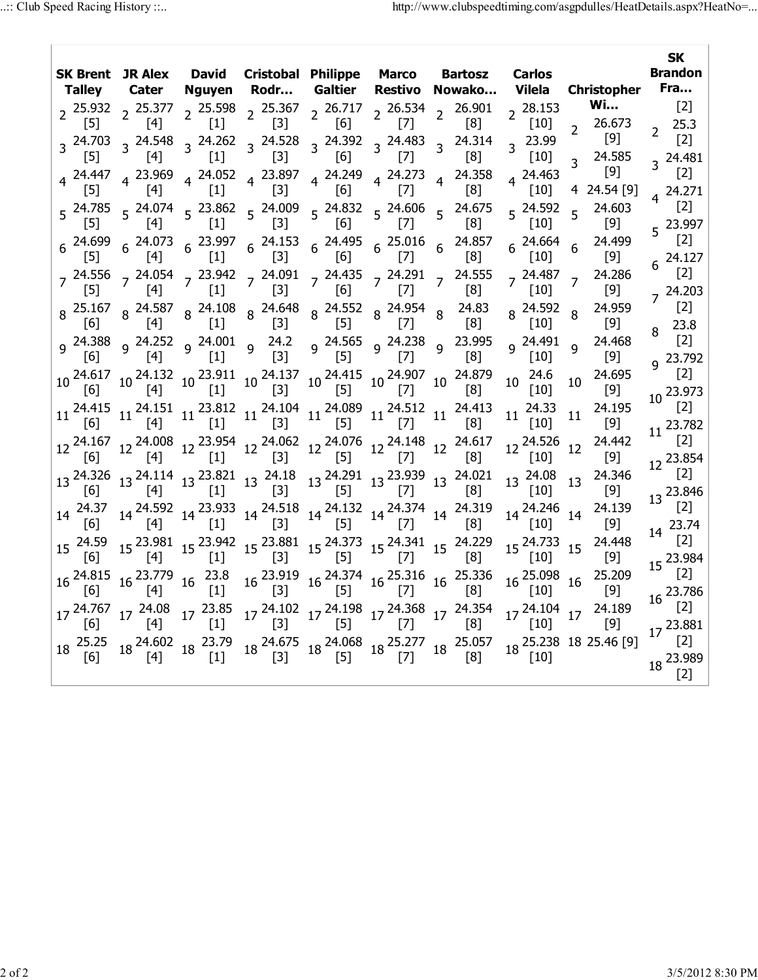| <b>David</b><br>Cristobal Philippe Marco Bartosz<br>SK Brent JR Alex<br>Fra<br>Galtier<br><b>Christopher</b><br>Rodr<br>Restivo<br>Nowako<br>Vilela<br>Talley Cater<br>Nguyen<br><b>Wi</b><br>$[2]$<br>2 $\frac{25.598}{11}$ 2 $\frac{25.367}{131}$ 2 $\frac{26.717}{161}$ 2 $\frac{26.534}{171}$<br>2 26.901<br>$2^{28.153}$<br>$2\frac{25.932}{551}$ $2\frac{25.377}{541}$<br>$[1]$<br>$[3]$<br>[6]<br>$[7]$<br>[8]<br>$\lceil 10 \rceil$<br>26.673<br>$[5]$<br>$[4]$<br>$\overline{2}$<br>$\mathcal{P}$<br>$[9]$<br>3 23.99<br>$3^{24.262}$ $3^{24.528}$<br>$3\begin{array}{cc} 24.392 & 3\end{array}$ 24.483<br>3 24.314<br>$3^{24.703}$<br>$3^{24.548}$<br>$\lceil 5 \rceil$<br>$[3]$<br>[6]<br>$[10]$<br>24.585<br>[4]<br>$[1]$<br>$[7]$<br>[8]<br>3 24.481<br>3<br>$[9]$<br>$4\begin{array}{l} 24.052 \\ 51 \end{array}$ 4 23.897<br>$4\begin{array}{l} 24.249 \\ -22.273 \end{array}$ 4 24.273<br>4 24.463<br>$4^{24.447}$<br>4 23.969<br>4 24.358<br>$[5]$<br>$[3]$<br>[6]<br>$[7]$<br>[8]<br>4 24.54 [9]<br>[4]<br>$\lfloor 1 \rfloor$<br>$\lfloor 10 \rfloor$<br>$4^{24.271}$<br>$5\begin{array}{ccccc} 24.785 & 5 & 24.074 \\ 5 & 5 & 5 & 24.862 \end{array}$ $5\begin{array}{ccccc} 24.832 & 5 & 24.606 \\ 5 & 5 & 5 & 5 \end{array}$ $5\begin{array}{ccccc} 24.675 & 5 & 24.675 \\ 5 & 5 & 5 & 5 \end{array}$<br>24.603<br>5 24.592<br>5<br>$[3]$<br>[8]<br>$[9]$<br>151<br>$[4]$<br>$[1]$<br>[6]<br>$[7]$<br>  10  <br>$6\begin{array}{cccccc} 24.699 & 6 & 24.073 & 6 & 23.997 & 6 & 24.153 & 6 & 24.495 & 6 & 25.016 \ \hline [5] & & [4] & & [1] & & [3] & & [6] & & [7] \end{array}$<br>24.499<br>$6^{24.857}$<br>$6^{24.664}$<br>[8]<br>$[9]$<br>$[10]$<br>7 24.556 7 24.054 7 23.942 7 24.091 7 24.435 7 24.291 7 24.555<br>[8] [7] [8] [8]<br>24.286<br>7 24.487<br>$\overline{7}$<br>[6]<br>$[3]$<br>$[9]$<br>$[1]$<br>$[7]$<br>$\lceil 8 \rceil$<br>$[10]$<br>151<br>$\left( \begin{array}{c} 4 \end{array} \right)$<br>24.959<br>$\begin{array}{ccccccccc} 8& 25.167 & 8& 24.587 & 8& 24.108 & 8& 24.648 & 8& 24.552 & 8& 24.954 & 8 \\ \hline \text{[6]} & 8& [4] & 8& [1] & 8& [3] & 8& [5] & 8& [7] & 8 \\ \end{array}$<br>24.83<br>8 24.592<br>8<br>[8]<br>$[9]$<br>$[10]$<br>9 <sup>24.388</sup> 9 <sup>24.252</sup> 9 <sup>24.001</sup> 9 <sup>24.2</sup> 9 <sup>24.565</sup> 9 <sup>24.238</sup><br>[6]       [4]       [1]       [3]       [5]       [7]<br>24.468<br>23.995<br>9 24.491<br>$\overline{9}$<br>9<br>[8]<br>$[9]$<br>$[10]$<br>24.6<br>24.695<br>$10\begin{array}{l} 24.617\\ [6] \end{array} \begin{array}{l} 10\begin{array}{l} 24.132\\ [4] \end{array} \end{array} \begin{array}{l} 10\begin{array}{l} 23.911\\ [1] \end{array} \end{array} \begin{array}{l} 10\begin{array}{l} 24.137\\ [3] \end{array} \end{array} \begin{array}{l} 10\begin{array}{l} 24.415\\ [5] \end{array} \begin{array}{l} 10\begin{array}{l} 24.907\\ [7] \end{array} \end{array} \begin{array}{l} 10$<br>10 <sub>1</sub><br>10<br>$[10]$<br>$[9]$<br>24.33<br>24.195<br>$11 \begin{array}{c ccccc} 24.415 & 11 & 24.151 & 11 & 23.812 & 11 & 24.104 & 11 & 24.089 & 11 & 24.512 & 11 \\ \hline \text{[6]} & & \text{[4]} & & \text{[1]} & & \text{[3]} & & \text{[5]} & & \text{[7]} & & \end{array}$<br>24.413<br>11<br>11<br>[8]<br>$[10]$<br>$[9]$<br>24.442<br>$12\,\begin{array}{l}\n 24.167 \\  12\,\begin{array}{l}\n 24.008 \\  14\n \end{array}\n \end{array}\n \quad 12\,\begin{array}{l}\n 23.954 \\  12\,\begin{array}{l}\n 24.062 \\  13\n \end{array}\n \end{array}\n \quad 12\,\begin{array}{l}\n 24.076 \\  12\,\begin{array}{l}\n 24.148 \\  12\,\begin{array}{l}\n 24.617 \\  7\n \end{array}\n \end{array}\n \end{array}\n \quad$<br>12 24.526<br>12<br>$[10]$<br>$[9]$<br>$_{12}$ 23.854<br>24.346<br>$13\begin{array}{l} 24.326 \\ \begin{bmatrix} 6 \end{bmatrix} \end{array} \begin{array}{l} 13\begin{array}{l} 24.114 \\ \begin{array}{l} \end{array} \end{array} \begin{array}{l} 13\begin{array}{l} 23.821 \\ \begin{array}{l} \end{array} \end{array} \begin{array}{l} 13\begin{array}{l} 24.18 \\ \begin{array}{l} \end{array} \end{array} \begin{array}{l} 24.291 \\ \begin{array}{l} \end{array} \begin{array}{l} 13\begin{array}{l} 23.939 \\ \begin{array}{l}$<br>13 24.08<br>13<br>$[10]$<br>$[9]$<br>$_{13}$ 23.846<br>24.139<br>$14\begin{array}{l} 24.592\\ \begin{bmatrix} 4 \end{bmatrix} \end{array} \begin{array}{l} 14\begin{array}{l} 23.933\\ \begin{bmatrix} 1 \end{array} \end{array} \begin{array}{l} 14\begin{array}{l} 24.518\\ \begin{bmatrix} 3 \end{array} \end{array} \begin{array}{l} 14\begin{array}{l} 24.132\\ \begin{bmatrix} 5 \end{array} \end{array} \begin{array}{l} 14\begin{array}{l} 24.374\\ \begin{bmatrix} 7 \end{array} \end{array} \begin{array}{l} 14\begin$<br>14 24.37<br>14 24.246<br>14<br>$[9]$<br>161<br> 10 <br>$14^{23.74}$<br>$15\,\begin{array}{ccc} 23.981 & 15\,\, 23.942 & 15\,\, 23.881 & 15\,\, 24.373 & 15\,\, 24.341 & 15\,\, 24.229 \\ [4] & [1] & [3] & [5] & [5] & [7] & [8] \end{array}$<br>24.448<br>$15^{24.59}$<br>15 24.733<br>15<br>$\lceil 6 \rceil$<br>$[9]$<br>$[10]$<br>$15^{23.984}$<br>25.209<br>16 23.779<br>23.8<br>16 <sup>23.919</sup> 16 <sup>24.374</sup> 16 <sup>25.316</sup> 16 <sup>25.336</sup><br>[3] <sup>16</sup> <sup>[5]</sup> <sup>16</sup> <sup>[7]</sup> <sup>16</sup> <sup>[8]</sup><br>16 <sup>25.098</sup><br>$16\frac{24.815}{ }$<br>16<br>16<br>$\lceil 1 \rceil$<br>[10]<br>$[9]$<br>161<br>[4]<br>16 23.786<br>17 24.767<br>17 24.08<br>$17^{23.85}$<br>$17\frac{24.102}{521}$ $17\frac{24.198}{521}$ $17\frac{24.368}{521}$ $17\frac{24.354}{521}$<br>17 24.104<br>24.189<br>17<br>$\lceil 5 \rceil$<br>$\lceil 4 \rceil$<br>$[3]$<br>[8]<br>$[9]$<br> 1 <br> 7 <br>$[10]$<br>161<br>18 25.057<br>18 24.602<br>18 23.79<br>$18\frac{24.675}{521}$ $18\frac{24.068}{551}$ $18\frac{25.277}{521}$<br>18 25.238 18 25.46 [9]<br>$18^{25.25}$<br>$[5]$<br>$[3]$<br>$[4]$<br>$[1]$<br>$[7]$<br>[8]<br>$[10]$<br>[6] |  |  |  | <b>SK</b> |               |  |                                |  |  |
|------------------------------------------------------------------------------------------------------------------------------------------------------------------------------------------------------------------------------------------------------------------------------------------------------------------------------------------------------------------------------------------------------------------------------------------------------------------------------------------------------------------------------------------------------------------------------------------------------------------------------------------------------------------------------------------------------------------------------------------------------------------------------------------------------------------------------------------------------------------------------------------------------------------------------------------------------------------------------------------------------------------------------------------------------------------------------------------------------------------------------------------------------------------------------------------------------------------------------------------------------------------------------------------------------------------------------------------------------------------------------------------------------------------------------------------------------------------------------------------------------------------------------------------------------------------------------------------------------------------------------------------------------------------------------------------------------------------------------------------------------------------------------------------------------------------------------------------------------------------------------------------------------------------------------------------------------------------------------------------------------------------------------------------------------------------------------------------------------------------------------------------------------------------------------------------------------------------------------------------------------------------------------------------------------------------------------------------------------------------------------------------------------------------------------------------------------------------------------------------------------------------------------------------------------------------------------------------------------------------------------------------------------------------------------------------------------------------------------------------------------------------------------------------------------------------------------------------------------------------------------------------------------------------------------------------------------------------------------------------------------------------------------------------------------------------------------------------------------------------------------------------------------------------------------------------------------------------------------------------------------------------------------------------------------------------------------------------------------------------------------------------------------------------------------------------------------------------------------------------------------------------------------------------------------------------------------------------------------------------------------------------------------------------------------------------------------------------------------------------------------------------------------------------------------------------------------------------------------------------------------------------------------------------------------------------------------------------------------------------------------------------------------------------------------------------------------------------------------------------------------------------------------------------------------------------------------------------------------------------------------------------------------------------------------------------------------------------------------------------------------------------------------------------------------------------------------------------------------------------------------------------------------------------------------------------------------------------------------------------------------------------------------------------------------------------------------------------------------------------------------------------------------------------------------------------------------------------------------------------------------------------------------------------------------------------------------------------------------------------------------------------------------------------------------------------------------------------------------------------------------------------------------------------------------------------------------------------------------------------------------------------------------------------------------------------------------------------------------------------------------------------------------------------------------------------------------------------------------------------------------------------------------------------------------------------------------------------------------------------------------------------------------------------------------------------------------------------------------------------------------------------------------------------------------------------------------------------------------------------------------------------------------------------------------------------------------------------------------|--|--|--|-----------|---------------|--|--------------------------------|--|--|
|                                                                                                                                                                                                                                                                                                                                                                                                                                                                                                                                                                                                                                                                                                                                                                                                                                                                                                                                                                                                                                                                                                                                                                                                                                                                                                                                                                                                                                                                                                                                                                                                                                                                                                                                                                                                                                                                                                                                                                                                                                                                                                                                                                                                                                                                                                                                                                                                                                                                                                                                                                                                                                                                                                                                                                                                                                                                                                                                                                                                                                                                                                                                                                                                                                                                                                                                                                                                                                                                                                                                                                                                                                                                                                                                                                                                                                                                                                                                                                                                                                                                                                                                                                                                                                                                                                                                                                                                                                                                                                                                                                                                                                                                                                                                                                                                                                                                                                                                                                                                                                                                                                                                                                                                                                                                                                                                                                                                                                                                                                                                                                                                                                                                                                                                                                                                                                                                                                                                                                              |  |  |  |           | <b>Carlos</b> |  | Brandon                        |  |  |
|                                                                                                                                                                                                                                                                                                                                                                                                                                                                                                                                                                                                                                                                                                                                                                                                                                                                                                                                                                                                                                                                                                                                                                                                                                                                                                                                                                                                                                                                                                                                                                                                                                                                                                                                                                                                                                                                                                                                                                                                                                                                                                                                                                                                                                                                                                                                                                                                                                                                                                                                                                                                                                                                                                                                                                                                                                                                                                                                                                                                                                                                                                                                                                                                                                                                                                                                                                                                                                                                                                                                                                                                                                                                                                                                                                                                                                                                                                                                                                                                                                                                                                                                                                                                                                                                                                                                                                                                                                                                                                                                                                                                                                                                                                                                                                                                                                                                                                                                                                                                                                                                                                                                                                                                                                                                                                                                                                                                                                                                                                                                                                                                                                                                                                                                                                                                                                                                                                                                                                              |  |  |  |           |               |  |                                |  |  |
|                                                                                                                                                                                                                                                                                                                                                                                                                                                                                                                                                                                                                                                                                                                                                                                                                                                                                                                                                                                                                                                                                                                                                                                                                                                                                                                                                                                                                                                                                                                                                                                                                                                                                                                                                                                                                                                                                                                                                                                                                                                                                                                                                                                                                                                                                                                                                                                                                                                                                                                                                                                                                                                                                                                                                                                                                                                                                                                                                                                                                                                                                                                                                                                                                                                                                                                                                                                                                                                                                                                                                                                                                                                                                                                                                                                                                                                                                                                                                                                                                                                                                                                                                                                                                                                                                                                                                                                                                                                                                                                                                                                                                                                                                                                                                                                                                                                                                                                                                                                                                                                                                                                                                                                                                                                                                                                                                                                                                                                                                                                                                                                                                                                                                                                                                                                                                                                                                                                                                                              |  |  |  |           |               |  | 25.3                           |  |  |
|                                                                                                                                                                                                                                                                                                                                                                                                                                                                                                                                                                                                                                                                                                                                                                                                                                                                                                                                                                                                                                                                                                                                                                                                                                                                                                                                                                                                                                                                                                                                                                                                                                                                                                                                                                                                                                                                                                                                                                                                                                                                                                                                                                                                                                                                                                                                                                                                                                                                                                                                                                                                                                                                                                                                                                                                                                                                                                                                                                                                                                                                                                                                                                                                                                                                                                                                                                                                                                                                                                                                                                                                                                                                                                                                                                                                                                                                                                                                                                                                                                                                                                                                                                                                                                                                                                                                                                                                                                                                                                                                                                                                                                                                                                                                                                                                                                                                                                                                                                                                                                                                                                                                                                                                                                                                                                                                                                                                                                                                                                                                                                                                                                                                                                                                                                                                                                                                                                                                                                              |  |  |  |           |               |  | $[2]$                          |  |  |
|                                                                                                                                                                                                                                                                                                                                                                                                                                                                                                                                                                                                                                                                                                                                                                                                                                                                                                                                                                                                                                                                                                                                                                                                                                                                                                                                                                                                                                                                                                                                                                                                                                                                                                                                                                                                                                                                                                                                                                                                                                                                                                                                                                                                                                                                                                                                                                                                                                                                                                                                                                                                                                                                                                                                                                                                                                                                                                                                                                                                                                                                                                                                                                                                                                                                                                                                                                                                                                                                                                                                                                                                                                                                                                                                                                                                                                                                                                                                                                                                                                                                                                                                                                                                                                                                                                                                                                                                                                                                                                                                                                                                                                                                                                                                                                                                                                                                                                                                                                                                                                                                                                                                                                                                                                                                                                                                                                                                                                                                                                                                                                                                                                                                                                                                                                                                                                                                                                                                                                              |  |  |  |           |               |  | $[2]$                          |  |  |
|                                                                                                                                                                                                                                                                                                                                                                                                                                                                                                                                                                                                                                                                                                                                                                                                                                                                                                                                                                                                                                                                                                                                                                                                                                                                                                                                                                                                                                                                                                                                                                                                                                                                                                                                                                                                                                                                                                                                                                                                                                                                                                                                                                                                                                                                                                                                                                                                                                                                                                                                                                                                                                                                                                                                                                                                                                                                                                                                                                                                                                                                                                                                                                                                                                                                                                                                                                                                                                                                                                                                                                                                                                                                                                                                                                                                                                                                                                                                                                                                                                                                                                                                                                                                                                                                                                                                                                                                                                                                                                                                                                                                                                                                                                                                                                                                                                                                                                                                                                                                                                                                                                                                                                                                                                                                                                                                                                                                                                                                                                                                                                                                                                                                                                                                                                                                                                                                                                                                                                              |  |  |  |           |               |  | $[2]$<br>$5^{23.997}$          |  |  |
|                                                                                                                                                                                                                                                                                                                                                                                                                                                                                                                                                                                                                                                                                                                                                                                                                                                                                                                                                                                                                                                                                                                                                                                                                                                                                                                                                                                                                                                                                                                                                                                                                                                                                                                                                                                                                                                                                                                                                                                                                                                                                                                                                                                                                                                                                                                                                                                                                                                                                                                                                                                                                                                                                                                                                                                                                                                                                                                                                                                                                                                                                                                                                                                                                                                                                                                                                                                                                                                                                                                                                                                                                                                                                                                                                                                                                                                                                                                                                                                                                                                                                                                                                                                                                                                                                                                                                                                                                                                                                                                                                                                                                                                                                                                                                                                                                                                                                                                                                                                                                                                                                                                                                                                                                                                                                                                                                                                                                                                                                                                                                                                                                                                                                                                                                                                                                                                                                                                                                                              |  |  |  |           |               |  | $[2]$<br>24.127                |  |  |
|                                                                                                                                                                                                                                                                                                                                                                                                                                                                                                                                                                                                                                                                                                                                                                                                                                                                                                                                                                                                                                                                                                                                                                                                                                                                                                                                                                                                                                                                                                                                                                                                                                                                                                                                                                                                                                                                                                                                                                                                                                                                                                                                                                                                                                                                                                                                                                                                                                                                                                                                                                                                                                                                                                                                                                                                                                                                                                                                                                                                                                                                                                                                                                                                                                                                                                                                                                                                                                                                                                                                                                                                                                                                                                                                                                                                                                                                                                                                                                                                                                                                                                                                                                                                                                                                                                                                                                                                                                                                                                                                                                                                                                                                                                                                                                                                                                                                                                                                                                                                                                                                                                                                                                                                                                                                                                                                                                                                                                                                                                                                                                                                                                                                                                                                                                                                                                                                                                                                                                              |  |  |  |           |               |  | $[2]$<br>$_7$ 24.203           |  |  |
|                                                                                                                                                                                                                                                                                                                                                                                                                                                                                                                                                                                                                                                                                                                                                                                                                                                                                                                                                                                                                                                                                                                                                                                                                                                                                                                                                                                                                                                                                                                                                                                                                                                                                                                                                                                                                                                                                                                                                                                                                                                                                                                                                                                                                                                                                                                                                                                                                                                                                                                                                                                                                                                                                                                                                                                                                                                                                                                                                                                                                                                                                                                                                                                                                                                                                                                                                                                                                                                                                                                                                                                                                                                                                                                                                                                                                                                                                                                                                                                                                                                                                                                                                                                                                                                                                                                                                                                                                                                                                                                                                                                                                                                                                                                                                                                                                                                                                                                                                                                                                                                                                                                                                                                                                                                                                                                                                                                                                                                                                                                                                                                                                                                                                                                                                                                                                                                                                                                                                                              |  |  |  |           |               |  | [2]<br>23.8                    |  |  |
|                                                                                                                                                                                                                                                                                                                                                                                                                                                                                                                                                                                                                                                                                                                                                                                                                                                                                                                                                                                                                                                                                                                                                                                                                                                                                                                                                                                                                                                                                                                                                                                                                                                                                                                                                                                                                                                                                                                                                                                                                                                                                                                                                                                                                                                                                                                                                                                                                                                                                                                                                                                                                                                                                                                                                                                                                                                                                                                                                                                                                                                                                                                                                                                                                                                                                                                                                                                                                                                                                                                                                                                                                                                                                                                                                                                                                                                                                                                                                                                                                                                                                                                                                                                                                                                                                                                                                                                                                                                                                                                                                                                                                                                                                                                                                                                                                                                                                                                                                                                                                                                                                                                                                                                                                                                                                                                                                                                                                                                                                                                                                                                                                                                                                                                                                                                                                                                                                                                                                                              |  |  |  |           |               |  | [2]<br>23.792                  |  |  |
|                                                                                                                                                                                                                                                                                                                                                                                                                                                                                                                                                                                                                                                                                                                                                                                                                                                                                                                                                                                                                                                                                                                                                                                                                                                                                                                                                                                                                                                                                                                                                                                                                                                                                                                                                                                                                                                                                                                                                                                                                                                                                                                                                                                                                                                                                                                                                                                                                                                                                                                                                                                                                                                                                                                                                                                                                                                                                                                                                                                                                                                                                                                                                                                                                                                                                                                                                                                                                                                                                                                                                                                                                                                                                                                                                                                                                                                                                                                                                                                                                                                                                                                                                                                                                                                                                                                                                                                                                                                                                                                                                                                                                                                                                                                                                                                                                                                                                                                                                                                                                                                                                                                                                                                                                                                                                                                                                                                                                                                                                                                                                                                                                                                                                                                                                                                                                                                                                                                                                                              |  |  |  |           |               |  | [2]<br>$_{10}$ 23.973          |  |  |
|                                                                                                                                                                                                                                                                                                                                                                                                                                                                                                                                                                                                                                                                                                                                                                                                                                                                                                                                                                                                                                                                                                                                                                                                                                                                                                                                                                                                                                                                                                                                                                                                                                                                                                                                                                                                                                                                                                                                                                                                                                                                                                                                                                                                                                                                                                                                                                                                                                                                                                                                                                                                                                                                                                                                                                                                                                                                                                                                                                                                                                                                                                                                                                                                                                                                                                                                                                                                                                                                                                                                                                                                                                                                                                                                                                                                                                                                                                                                                                                                                                                                                                                                                                                                                                                                                                                                                                                                                                                                                                                                                                                                                                                                                                                                                                                                                                                                                                                                                                                                                                                                                                                                                                                                                                                                                                                                                                                                                                                                                                                                                                                                                                                                                                                                                                                                                                                                                                                                                                              |  |  |  |           |               |  | [2]<br>23.782                  |  |  |
|                                                                                                                                                                                                                                                                                                                                                                                                                                                                                                                                                                                                                                                                                                                                                                                                                                                                                                                                                                                                                                                                                                                                                                                                                                                                                                                                                                                                                                                                                                                                                                                                                                                                                                                                                                                                                                                                                                                                                                                                                                                                                                                                                                                                                                                                                                                                                                                                                                                                                                                                                                                                                                                                                                                                                                                                                                                                                                                                                                                                                                                                                                                                                                                                                                                                                                                                                                                                                                                                                                                                                                                                                                                                                                                                                                                                                                                                                                                                                                                                                                                                                                                                                                                                                                                                                                                                                                                                                                                                                                                                                                                                                                                                                                                                                                                                                                                                                                                                                                                                                                                                                                                                                                                                                                                                                                                                                                                                                                                                                                                                                                                                                                                                                                                                                                                                                                                                                                                                                                              |  |  |  |           |               |  | $[2]$                          |  |  |
|                                                                                                                                                                                                                                                                                                                                                                                                                                                                                                                                                                                                                                                                                                                                                                                                                                                                                                                                                                                                                                                                                                                                                                                                                                                                                                                                                                                                                                                                                                                                                                                                                                                                                                                                                                                                                                                                                                                                                                                                                                                                                                                                                                                                                                                                                                                                                                                                                                                                                                                                                                                                                                                                                                                                                                                                                                                                                                                                                                                                                                                                                                                                                                                                                                                                                                                                                                                                                                                                                                                                                                                                                                                                                                                                                                                                                                                                                                                                                                                                                                                                                                                                                                                                                                                                                                                                                                                                                                                                                                                                                                                                                                                                                                                                                                                                                                                                                                                                                                                                                                                                                                                                                                                                                                                                                                                                                                                                                                                                                                                                                                                                                                                                                                                                                                                                                                                                                                                                                                              |  |  |  |           |               |  | [2]                            |  |  |
|                                                                                                                                                                                                                                                                                                                                                                                                                                                                                                                                                                                                                                                                                                                                                                                                                                                                                                                                                                                                                                                                                                                                                                                                                                                                                                                                                                                                                                                                                                                                                                                                                                                                                                                                                                                                                                                                                                                                                                                                                                                                                                                                                                                                                                                                                                                                                                                                                                                                                                                                                                                                                                                                                                                                                                                                                                                                                                                                                                                                                                                                                                                                                                                                                                                                                                                                                                                                                                                                                                                                                                                                                                                                                                                                                                                                                                                                                                                                                                                                                                                                                                                                                                                                                                                                                                                                                                                                                                                                                                                                                                                                                                                                                                                                                                                                                                                                                                                                                                                                                                                                                                                                                                                                                                                                                                                                                                                                                                                                                                                                                                                                                                                                                                                                                                                                                                                                                                                                                                              |  |  |  |           |               |  | [2]                            |  |  |
|                                                                                                                                                                                                                                                                                                                                                                                                                                                                                                                                                                                                                                                                                                                                                                                                                                                                                                                                                                                                                                                                                                                                                                                                                                                                                                                                                                                                                                                                                                                                                                                                                                                                                                                                                                                                                                                                                                                                                                                                                                                                                                                                                                                                                                                                                                                                                                                                                                                                                                                                                                                                                                                                                                                                                                                                                                                                                                                                                                                                                                                                                                                                                                                                                                                                                                                                                                                                                                                                                                                                                                                                                                                                                                                                                                                                                                                                                                                                                                                                                                                                                                                                                                                                                                                                                                                                                                                                                                                                                                                                                                                                                                                                                                                                                                                                                                                                                                                                                                                                                                                                                                                                                                                                                                                                                                                                                                                                                                                                                                                                                                                                                                                                                                                                                                                                                                                                                                                                                                              |  |  |  |           |               |  | [2]                            |  |  |
|                                                                                                                                                                                                                                                                                                                                                                                                                                                                                                                                                                                                                                                                                                                                                                                                                                                                                                                                                                                                                                                                                                                                                                                                                                                                                                                                                                                                                                                                                                                                                                                                                                                                                                                                                                                                                                                                                                                                                                                                                                                                                                                                                                                                                                                                                                                                                                                                                                                                                                                                                                                                                                                                                                                                                                                                                                                                                                                                                                                                                                                                                                                                                                                                                                                                                                                                                                                                                                                                                                                                                                                                                                                                                                                                                                                                                                                                                                                                                                                                                                                                                                                                                                                                                                                                                                                                                                                                                                                                                                                                                                                                                                                                                                                                                                                                                                                                                                                                                                                                                                                                                                                                                                                                                                                                                                                                                                                                                                                                                                                                                                                                                                                                                                                                                                                                                                                                                                                                                                              |  |  |  |           |               |  | $[2]$                          |  |  |
|                                                                                                                                                                                                                                                                                                                                                                                                                                                                                                                                                                                                                                                                                                                                                                                                                                                                                                                                                                                                                                                                                                                                                                                                                                                                                                                                                                                                                                                                                                                                                                                                                                                                                                                                                                                                                                                                                                                                                                                                                                                                                                                                                                                                                                                                                                                                                                                                                                                                                                                                                                                                                                                                                                                                                                                                                                                                                                                                                                                                                                                                                                                                                                                                                                                                                                                                                                                                                                                                                                                                                                                                                                                                                                                                                                                                                                                                                                                                                                                                                                                                                                                                                                                                                                                                                                                                                                                                                                                                                                                                                                                                                                                                                                                                                                                                                                                                                                                                                                                                                                                                                                                                                                                                                                                                                                                                                                                                                                                                                                                                                                                                                                                                                                                                                                                                                                                                                                                                                                              |  |  |  |           |               |  | $[2]$<br>$_{17}$ 23.881        |  |  |
|                                                                                                                                                                                                                                                                                                                                                                                                                                                                                                                                                                                                                                                                                                                                                                                                                                                                                                                                                                                                                                                                                                                                                                                                                                                                                                                                                                                                                                                                                                                                                                                                                                                                                                                                                                                                                                                                                                                                                                                                                                                                                                                                                                                                                                                                                                                                                                                                                                                                                                                                                                                                                                                                                                                                                                                                                                                                                                                                                                                                                                                                                                                                                                                                                                                                                                                                                                                                                                                                                                                                                                                                                                                                                                                                                                                                                                                                                                                                                                                                                                                                                                                                                                                                                                                                                                                                                                                                                                                                                                                                                                                                                                                                                                                                                                                                                                                                                                                                                                                                                                                                                                                                                                                                                                                                                                                                                                                                                                                                                                                                                                                                                                                                                                                                                                                                                                                                                                                                                                              |  |  |  |           |               |  | [2]<br>$_{18}$ 23.989<br>$[2]$ |  |  |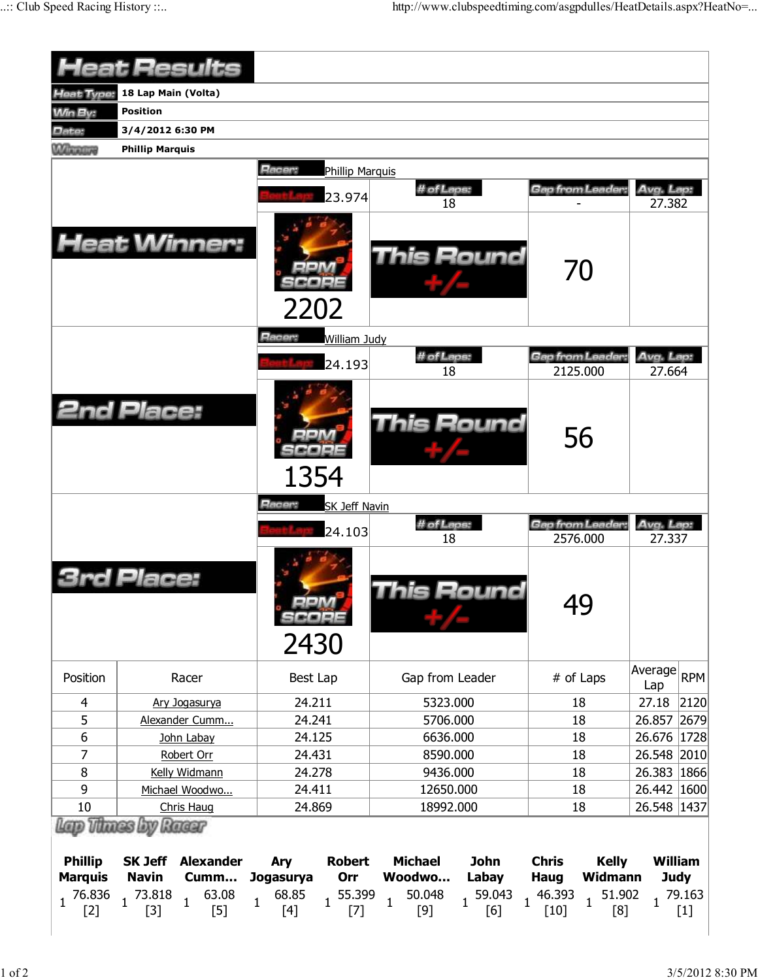|                                  | <b>Heat Results</b>                                        |                                          |                                                  |                                                 |                              |
|----------------------------------|------------------------------------------------------------|------------------------------------------|--------------------------------------------------|-------------------------------------------------|------------------------------|
| <b>Heat Type:</b>                | 18 Lap Main (Volta)                                        |                                          |                                                  |                                                 |                              |
| <b>Min By:</b>                   | <b>Position</b>                                            |                                          |                                                  |                                                 |                              |
| Date:                            | 3/4/2012 6:30 PM                                           |                                          |                                                  |                                                 |                              |
| <b>WARRANT</b>                   | <b>Phillip Marquis</b>                                     |                                          |                                                  |                                                 |                              |
|                                  |                                                            | Racer:                                   |                                                  |                                                 |                              |
|                                  |                                                            | <b>Phillip Marquis</b>                   |                                                  |                                                 |                              |
|                                  |                                                            | 23.974                                   | # of Laps:<br>18                                 | Gap from Leader:                                | Avg. Lap:<br>27.382          |
|                                  | <b>Heat Winner:</b>                                        | 2202                                     | <b>This Round</b>                                | 70                                              |                              |
|                                  |                                                            | Racer:<br>William Judy                   |                                                  |                                                 |                              |
|                                  |                                                            | 24.193                                   | # of Laps:<br>18                                 | Gap from Leader:<br>2125.000                    | Avg. Lap:<br>27.664          |
|                                  | <b>2nd Place:</b>                                          | 1354                                     | This Round                                       | 56                                              |                              |
|                                  |                                                            | Racer:<br><b>SK Jeff Navin</b>           |                                                  |                                                 |                              |
|                                  |                                                            | 24.103                                   | # of Laps:                                       | Gap from Leader:                                | Avg. Lap:                    |
|                                  | Place:                                                     | SCOPE<br>2430                            | 18<br>his Round                                  | 2576.000<br>49                                  | 27.337                       |
| Position                         | Racer                                                      | Best Lap                                 | Gap from Leader                                  | # of Laps                                       | Average<br><b>RPM</b><br>Lap |
| 4                                | Ary Jogasurya                                              | 24.211                                   | 5323.000                                         | 18                                              | 27.18<br>2120                |
| 5                                | Alexander Cumm                                             | 24.241                                   | 5706.000                                         | 18                                              | 2679<br>26.857               |
| 6                                | John Labay                                                 | 24.125                                   | 6636.000                                         | 18                                              | 1728 <br>26.676              |
| 7                                | Robert Orr                                                 | 24.431                                   | 8590.000                                         | 18                                              | 26.548<br>2010               |
| 8                                | Kelly Widmann                                              | 24.278                                   | 9436.000                                         | 18                                              | 26.383 1866                  |
| 9                                | Michael Woodwo                                             | 24.411                                   | 12650.000                                        | 18                                              | 26.442   1600                |
| 10                               | Chris Haug                                                 | 24.869                                   | 18992.000                                        | 18                                              | 26.548 1437                  |
| Lap Thues by Ruer                |                                                            |                                          |                                                  |                                                 |                              |
|                                  |                                                            |                                          |                                                  |                                                 |                              |
| <b>Phillip</b><br><b>Marquis</b> | <b>SK Jeff</b><br><b>Alexander</b><br><b>Navin</b><br>Cumm | <b>Robert</b><br>Ary<br>Jogasurya<br>Orr | <b>Michael</b><br><b>John</b><br>Woodwo<br>Labay | <b>Chris</b><br><b>Kelly</b><br>Widmann<br>Haug | William<br><b>Judy</b>       |